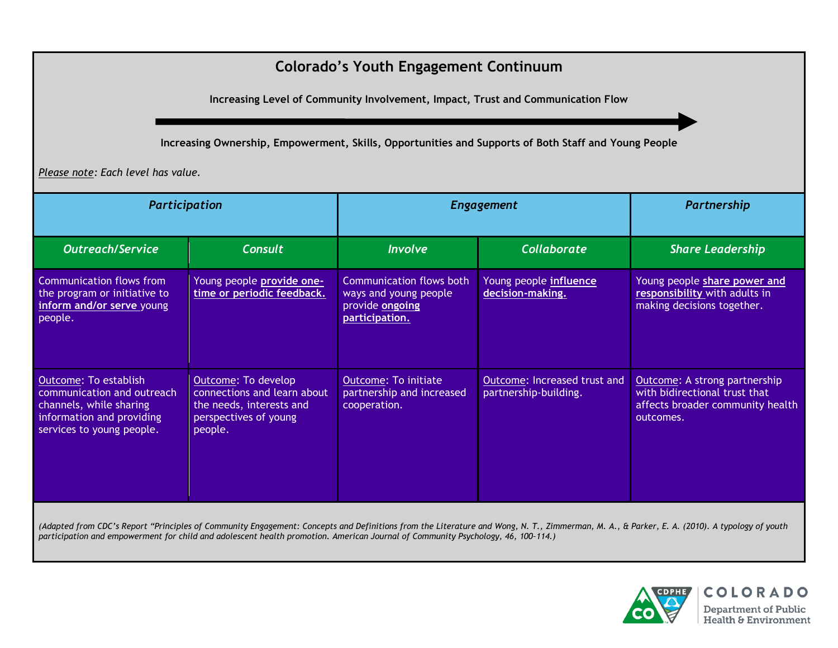## **Colorado's Youth Engagement Continuum**

**Increasing Level of Community Involvement, Impact, Trust and Communication Flow**

**Increasing Ownership, Empowerment, Skills, Opportunities and Supports of Both Staff and Young People**

*Please note: Each level has value.*

| Participation                                                                                                                            |                                                                                                                    | <b>Engagement</b>                                                                      |                                                       | Partnership                                                                                                     |
|------------------------------------------------------------------------------------------------------------------------------------------|--------------------------------------------------------------------------------------------------------------------|----------------------------------------------------------------------------------------|-------------------------------------------------------|-----------------------------------------------------------------------------------------------------------------|
| <b>Outreach/Service</b>                                                                                                                  | <b>Consult</b>                                                                                                     | <b>Involve</b>                                                                         | Collaborate                                           | <b>Share Leadership</b>                                                                                         |
| Communication flows from<br>the program or initiative to<br>inform and/or serve young<br>people.                                         | Young people <b>provide one-</b><br>time or periodic feedback.                                                     | Communication flows both<br>ways and young people<br>provide ongoing<br>participation. | Young people <i>influence</i><br>decision-making.     | Young people share power and<br>responsibility with adults in<br>making decisions together.                     |
| Outcome: To establish<br>communication and outreach<br>channels, while sharing<br>information and providing<br>services to young people. | Outcome: To develop<br>connections and learn about<br>the needs, interests and<br>perspectives of young<br>people. | <b>Outcome: To initiate</b><br>partnership and increased<br>cooperation.               | Outcome: Increased trust and<br>partnership-building. | Outcome: A strong partnership<br>with bidirectional trust that<br>affects broader community health<br>outcomes. |

(Adapted from CDC's Report "Principles of Community Engagement: Concepts and Definitions from the Literature and Wong, N. T., Zimmerman, M. A., & Parker, E. A. (2010). A typology of youth *participation and empowerment for child and adolescent health promotion. American Journal of Community Psychology, 46, 100–114.)*